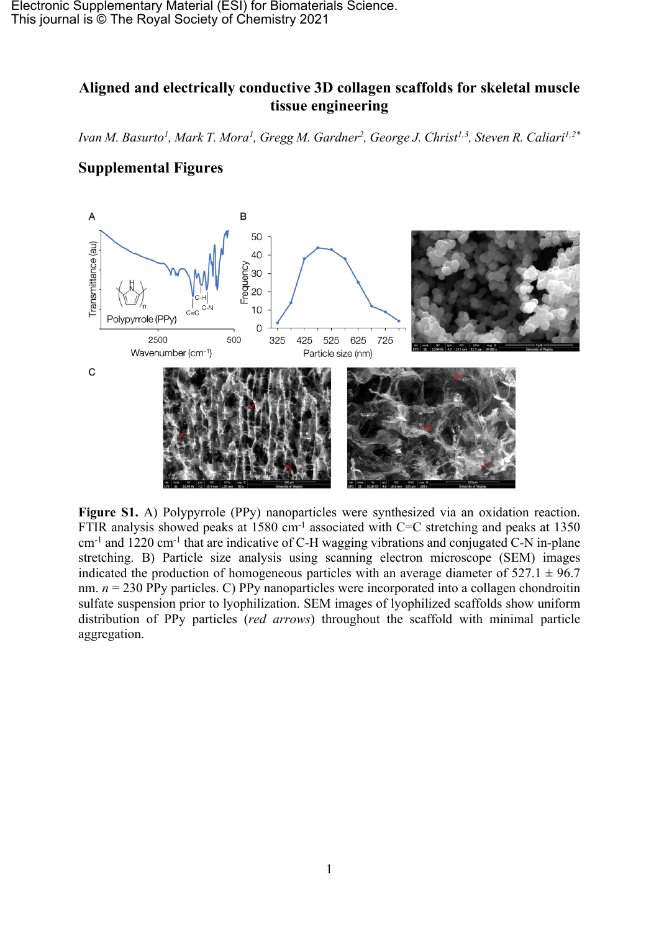Electronic Supplementary Material (ESI) for Biomaterials Science. This journal is © The Royal Society of Chemistry 2021

## **Aligned and electrically conductive 3D collagen scaffolds for skeletal muscle tissue engineering**

Ivan M. Basurto<sup>1</sup>, Mark T. Mora<sup>1</sup>, Gregg M. Gardner<sup>2</sup>, George J. Christ<sup>1,3</sup>, Steven R. Caliari<sup>1,2\*</sup>



## **Supplemental Figures**

**Figure S1.** A) Polypyrrole (PPy) nanoparticles were synthesized via an oxidation reaction. FTIR analysis showed peaks at 1580 cm<sup>-1</sup> associated with C=C stretching and peaks at 1350 cm-1 and 1220 cm-1 that are indicative of C-H wagging vibrations and conjugated C-N in-plane stretching. B) Particle size analysis using scanning electron microscope (SEM) images indicated the production of homogeneous particles with an average diameter of  $527.1 \pm 96.7$ nm.  $n = 230$  PPy particles. C) PPy nanoparticles were incorporated into a collagen chondroitin sulfate suspension prior to lyophilization. SEM images of lyophilized scaffolds show uniform distribution of PPy particles (*red arrows*) throughout the scaffold with minimal particle aggregation.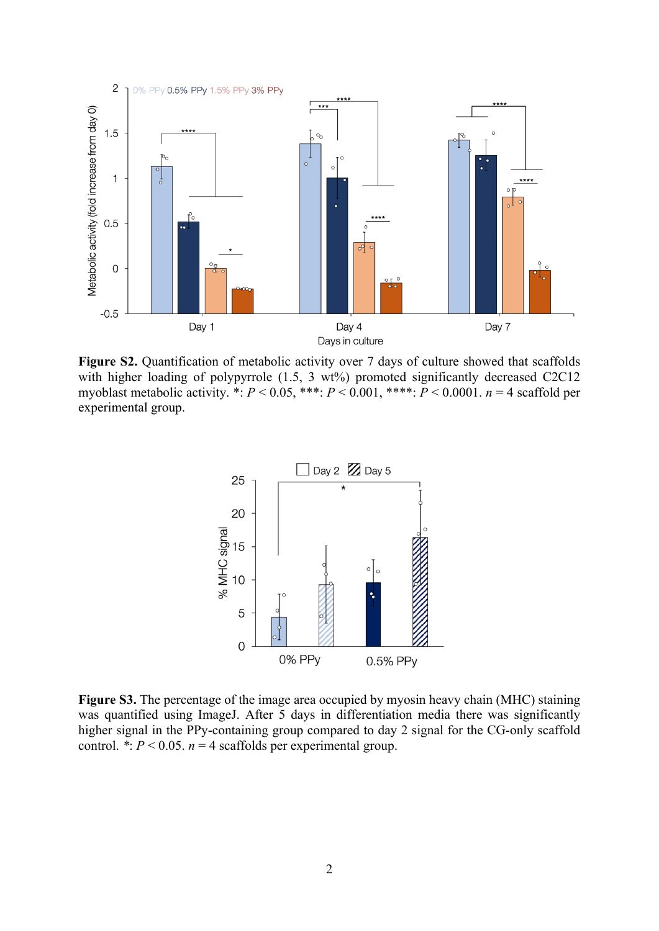

**Figure S2.** Quantification of metabolic activity over 7 days of culture showed that scaffolds with higher loading of polypyrrole (1.5, 3 wt%) promoted significantly decreased C2C12 myoblast metabolic activity. \*:  $P < 0.05$ , \*\*\*:  $P < 0.001$ , \*\*\*:  $P < 0.0001$ .  $n = 4$  scaffold per experimental group.



**Figure S3.** The percentage of the image area occupied by myosin heavy chain (MHC) staining was quantified using ImageJ. After 5 days in differentiation media there was significantly higher signal in the PPy-containing group compared to day 2 signal for the CG-only scaffold control.  $\dot{P}$  < 0.05. *n* = 4 scaffolds per experimental group.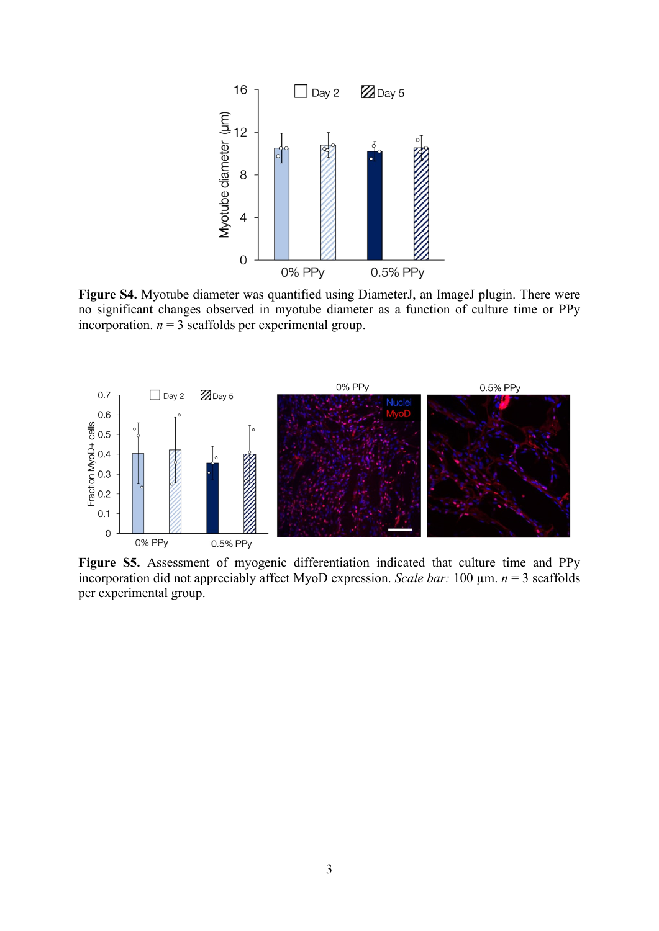

**Figure S4.** Myotube diameter was quantified using DiameterJ, an ImageJ plugin. There were no significant changes observed in myotube diameter as a function of culture time or PPy incorporation.  $n = 3$  scaffolds per experimental group.



**Figure S5.** Assessment of myogenic differentiation indicated that culture time and PPy incorporation did not appreciably affect MyoD expression. *Scale bar:* 100  $\mu$ m. *n* = 3 scaffolds per experimental group.